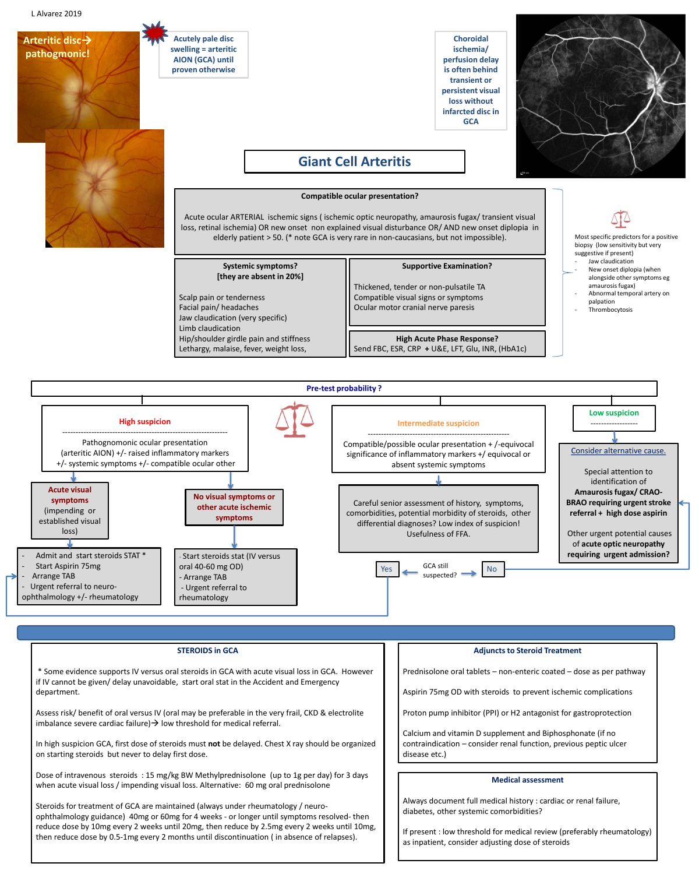## **Giant Cell Arteritis**

### **Compatible ocular presentation?**

Acute ocular ARTERIAL ischemic signs ( ischemic optic neuropathy, amaurosis fugax/ transient visual loss, retinal ischemia) OR new onset non explained visual disturbance OR/ AND new onset diplopia in elderly patient > 50. (\* note GCA is very rare in non-caucasians, but not impossible).

#### **Supportive Examination?**

Thickened, tender or non-pulsatile TA Compatible visual signs or symptoms Ocular motor cranial nerve paresis

- Start Aspirin 75mg
- Arrange TAB
- Urgent referral to neuro-

**Systemic symptoms? [they are absent in 20%]**

Scalp pain or tenderness Facial pain/ headaches

Jaw claudication (very specific)

Limb claudication

Hip/shoulder girdle pain and stiffness Lethargy, malaise, fever, weight loss,

**High Acute Phase Response?** Send FBC, ESR, CRP **+** U&E, LFT, Glu, INR, (HbA1c)

Assess risk/ benefit of oral versus IV (oral may be preferable in the very frail, CKD & electrolite imbalance severe cardiac failure)  $\rightarrow$  low threshold for medical referral.

ophthalmology +/- rheumatology

- Start steroids stat (IV versus oral 40-60 mg OD)

- Arrange TAB

- Urgent referral to

rheumatology

**requiring urgent admission?** 

## **STEROIDS in GCA**

\* Some evidence supports IV versus oral steroids in GCA with acute visual loss in GCA. However if IV cannot be given/ delay unavoidable, start oral stat in the Accident and Emergency department.

GCA still suspected?  $Yes \sim \frac{GCA \, SUII}{SUAC} \sim \frac{N}{N}$ 



In high suspicion GCA, first dose of steroids must **not** be delayed. Chest X ray should be organized on starting steroids but never to delay first dose.

Dose of intravenous steroids : 15 mg/kg BW Methylprednisolone (up to 1g per day) for 3 days when acute visual loss / impending visual loss. Alternative: 60 mg oral prednisolone



Admit and start steroids STAT \*

Steroids for treatment of GCA are maintained (always under rheumatology / neuroophthalmology guidance) 40mg or 60mg for 4 weeks - or longer until symptoms resolved- then reduce dose by 10mg every 2 weeks until 20mg, then reduce by 2.5mg every 2 weeks until 10mg, then reduce dose by 0.5-1mg every 2 months until discontinuation ( in absence of relapses).

#### **Medical assessment**

Always document full medical history : cardiac or renal failure, diabetes, other systemic comorbidities?

If present : low threshold for medical review (preferably rheumatology) as inpatient, consider adjusting dose of steroids

### **Adjuncts to Steroid Treatment**

Prednisolone oral tablets – non-enteric coated – dose as per pathway

Aspirin 75mg OD with steroids to prevent ischemic complications

Proton pump inhibitor (PPI) or H2 antagonist for gastroprotection

Calcium and vitamin D supplement and Biphosphonate (if no contraindication – consider renal function, previous peptic ulcer disease etc.)

**Acutely pale disc swelling = arteritic AION (GCA) until proven otherwise**

**Choroidal ischemia/ perfusion delay is often behind transient or persistent visual loss without infarcted disc in GCA** 



**Arteritic disc pathogmonic!**

> Most specific predictors for a positive biopsy (low sensitivity but very suggestive if present)

- Jaw claudication
- New onset diplopia (when alongside other symptoms eg amaurosis fugax)
- Abnormal temporal artery on palpation
- Thrombocytosis